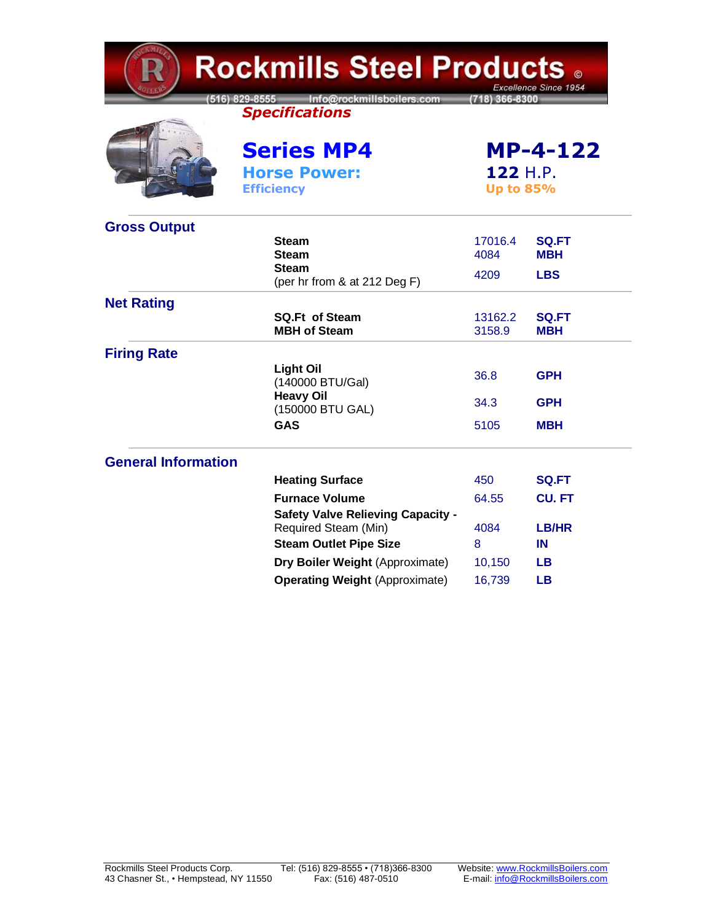| <b>Rockmills Steel Products .</b><br>Excellence Since 1954 |                                                                                                   |                                                 |                            |  |
|------------------------------------------------------------|---------------------------------------------------------------------------------------------------|-------------------------------------------------|----------------------------|--|
|                                                            | Info@rockmillsboilers.com<br>$(516) 829 - 8555$<br>(718) 366-8300<br><b>Specifications</b>        |                                                 |                            |  |
|                                                            | <b>Series MP4</b><br><b>Horse Power:</b>                                                          | <b>MP-4-122</b><br>122 H.P.<br><b>Up to 85%</b> |                            |  |
|                                                            | <b>Efficiency</b>                                                                                 |                                                 |                            |  |
| <b>Gross Output</b>                                        | <b>Steam</b><br><b>Steam</b>                                                                      | 17016.4<br>4084                                 | <b>SQ.FT</b><br><b>MBH</b> |  |
|                                                            | <b>Steam</b><br>(per hr from & at 212 Deg F)                                                      | 4209                                            | <b>LBS</b>                 |  |
| <b>Net Rating</b>                                          | <b>SQ.Ft of Steam</b><br><b>MBH of Steam</b>                                                      | 13162.2<br>3158.9                               | <b>SQ.FT</b><br><b>MBH</b> |  |
| <b>Firing Rate</b>                                         | <b>Light Oil</b><br>(140000 BTU/Gal)<br><b>Heavy Oil</b>                                          | 36.8                                            | <b>GPH</b>                 |  |
|                                                            | (150000 BTU GAL)<br><b>GAS</b>                                                                    | 34.3<br>5105                                    | <b>GPH</b><br><b>MBH</b>   |  |
| <b>General Information</b>                                 |                                                                                                   |                                                 |                            |  |
|                                                            | <b>Heating Surface</b>                                                                            | 450                                             | <b>SQ.FT</b>               |  |
|                                                            | <b>Furnace Volume</b>                                                                             | 64.55                                           | <b>CU.FT</b>               |  |
|                                                            | <b>Safety Valve Relieving Capacity -</b><br>Required Steam (Min)<br><b>Steam Outlet Pipe Size</b> | 4084<br>8                                       | LB/HR<br>IN                |  |
|                                                            | Dry Boiler Weight (Approximate)                                                                   | 10,150                                          | <b>LB</b>                  |  |
|                                                            | <b>Operating Weight (Approximate)</b>                                                             | 16,739                                          | <b>LB</b>                  |  |